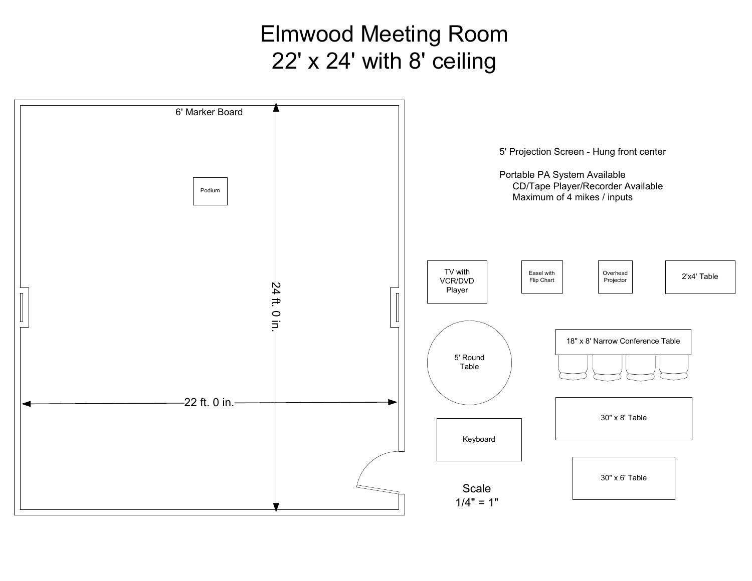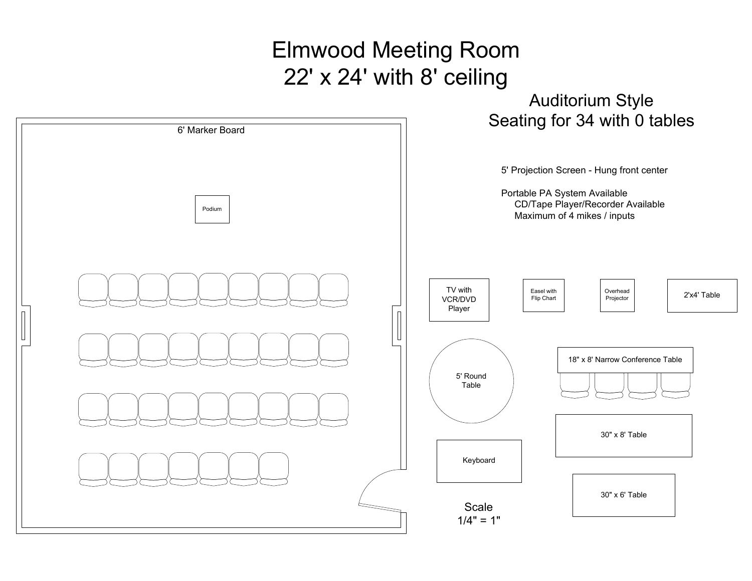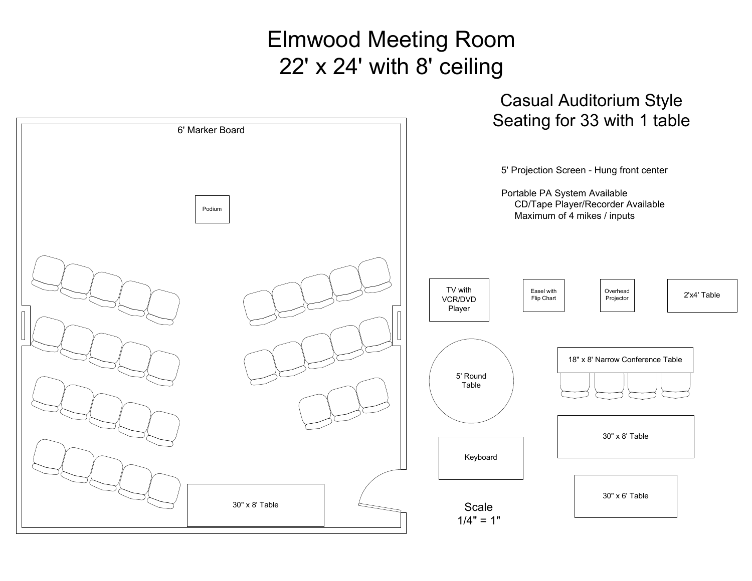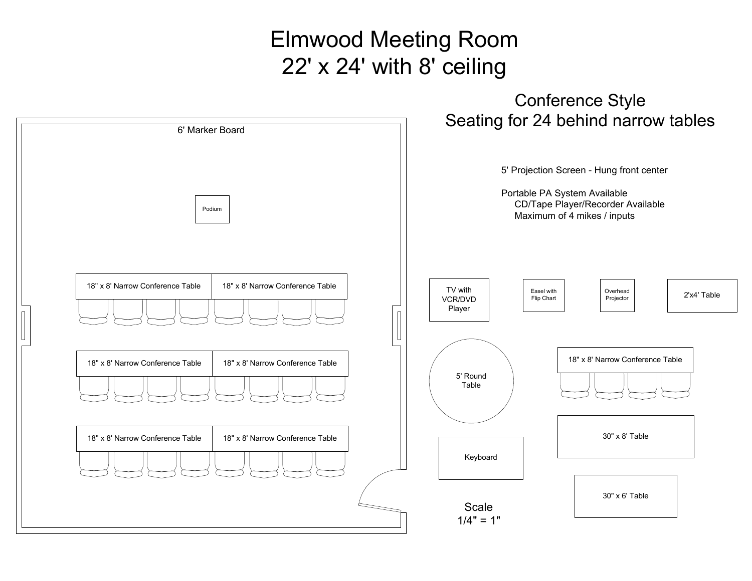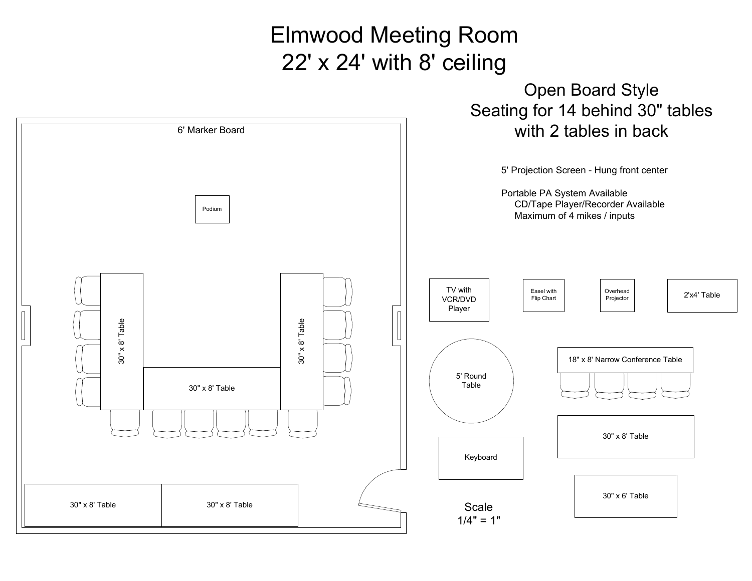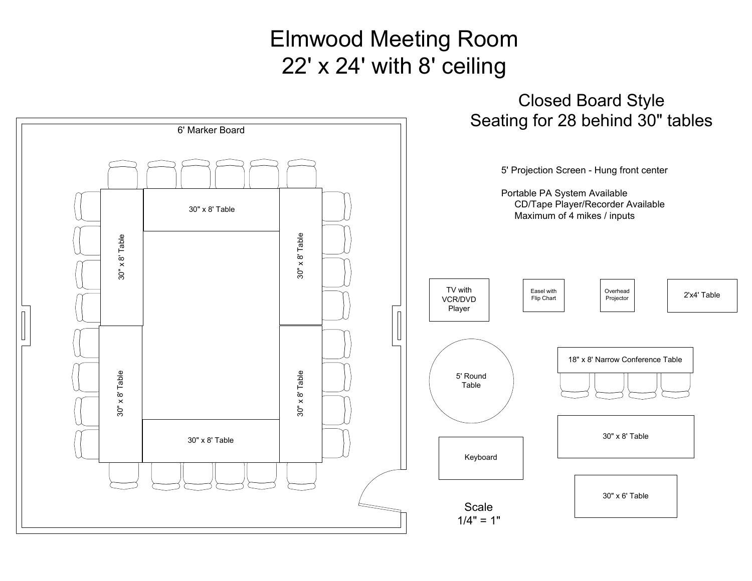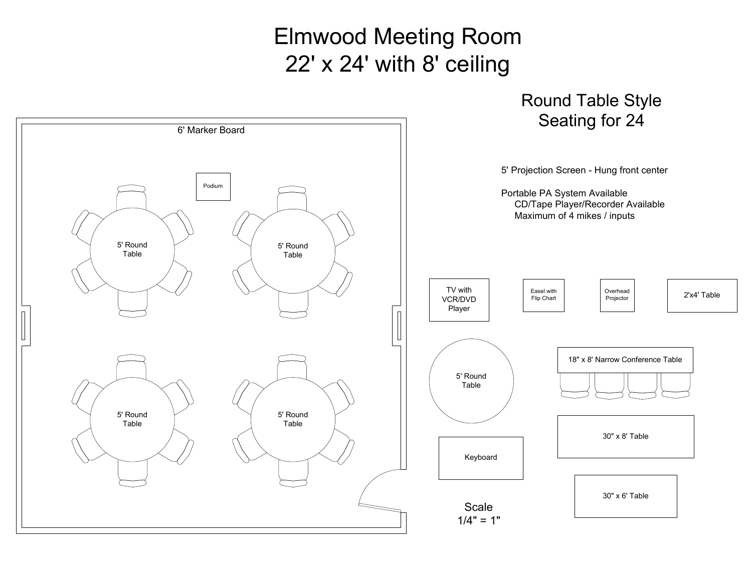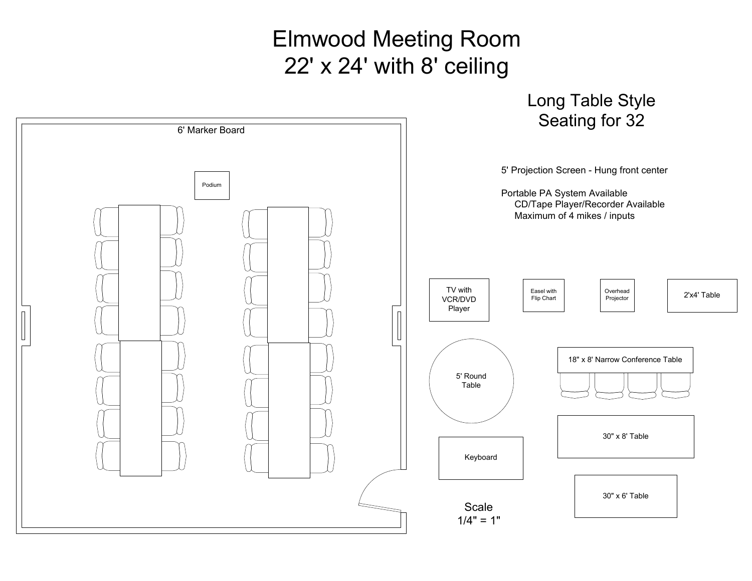